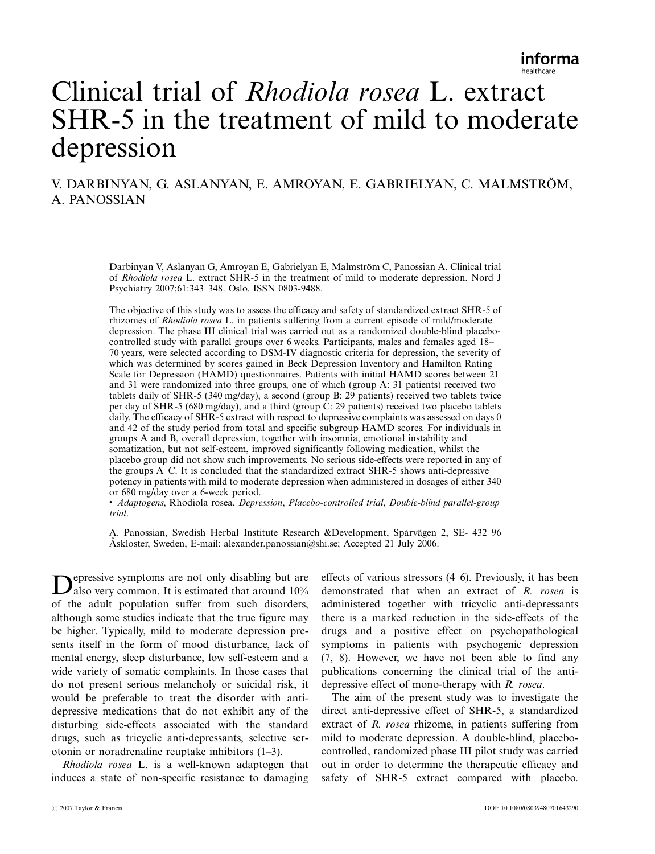# Clinical trial of Rhodiola rosea L. extract SHR-5 in the treatment of mild to moderate depression

## V. DARBINYAN, G. ASLANYAN, E. AMROYAN, E. GABRIELYAN, C. MALMSTRÖM, A. PANOSSIAN

Darbinyan V, Aslanyan G, Amroyan E, Gabrielyan E, Malmström C, Panossian A. Clinical trial of Rhodiola rosea L. extract SHR-5 in the treatment of mild to moderate depression. Nord J Psychiatry 2007;61:343-348. Oslo. ISSN 0803-9488.

The objective of this study was to assess the efficacy and safety of standardized extract SHR-5 of rhizomes of Rhodiola rosea L. in patients suffering from a current episode of mild/moderate depression. The phase III clinical trial was carried out as a randomized double-blind placebocontrolled study with parallel groups over 6 weeks. Participants, males and females aged 18 70 years, were selected according to DSM-IV diagnostic criteria for depression, the severity of which was determined by scores gained in Beck Depression Inventory and Hamilton Rating Scale for Depression (HAMD) questionnaires. Patients with initial HAMD scores between 21 and 31 were randomized into three groups, one of which (group A: 31 patients) received two tablets daily of SHR-5 (340 mg/day), a second (group B: 29 patients) received two tablets twice per day of SHR-5 (680 mg/day), and a third (group C: 29 patients) received two placebo tablets daily. The efficacy of SHR-5 extract with respect to depressive complaints was assessed on days 0 and 42 of the study period from total and specific subgroup HAMD scores. For individuals in groups A and B, overall depression, together with insomnia, emotional instability and somatization, but not self-esteem, improved significantly following medication, whilst the placebo group did not show such improvements. No serious side-effects were reported in any of the groups AC. It is concluded that the standardized extract SHR-5 shows anti-depressive potency in patients with mild to moderate depression when administered in dosages of either 340 or 680 mg/day over a 6-week period.

 Adaptogens, Rhodiola rosea, Depression, Placebo-controlled trial, Double-blind parallel-group trial.

A. Panossian, Swedish Herbal Institute Research &Development, Spårvägen 2, SE- 432 96 Åskloster, Sweden, E-mail: alexander.panossian@shi.se; Accepted 21 July 2006.

Depressive symptoms are not only disabling but are also very common. It is estimated that around 10% of the adult population suffer from such disorders, although some studies indicate that the true figure may be higher. Typically, mild to moderate depression presents itself in the form of mood disturbance, lack of mental energy, sleep disturbance, low self-esteem and a wide variety of somatic complaints. In those cases that do not present serious melancholy or suicidal risk, it would be preferable to treat the disorder with antidepressive medications that do not exhibit any of the disturbing side-effects associated with the standard drugs, such as tricyclic anti-depressants, selective serotonin or noradrenaline reuptake inhibitors  $(1-3)$ .

Rhodiola rosea L. is a well-known adaptogen that induces a state of non-specific resistance to damaging effects of various stressors  $(4-6)$ . Previously, it has been demonstrated that when an extract of R. rosea is administered together with tricyclic anti-depressants there is a marked reduction in the side-effects of the drugs and a positive effect on psychopathological symptoms in patients with psychogenic depression (7, 8). However, we have not been able to find any publications concerning the clinical trial of the antidepressive effect of mono-therapy with R. rosea.

The aim of the present study was to investigate the direct anti-depressive effect of SHR-5, a standardized extract of R. rosea rhizome, in patients suffering from mild to moderate depression. A double-blind, placebocontrolled, randomized phase III pilot study was carried out in order to determine the therapeutic efficacy and safety of SHR-5 extract compared with placebo.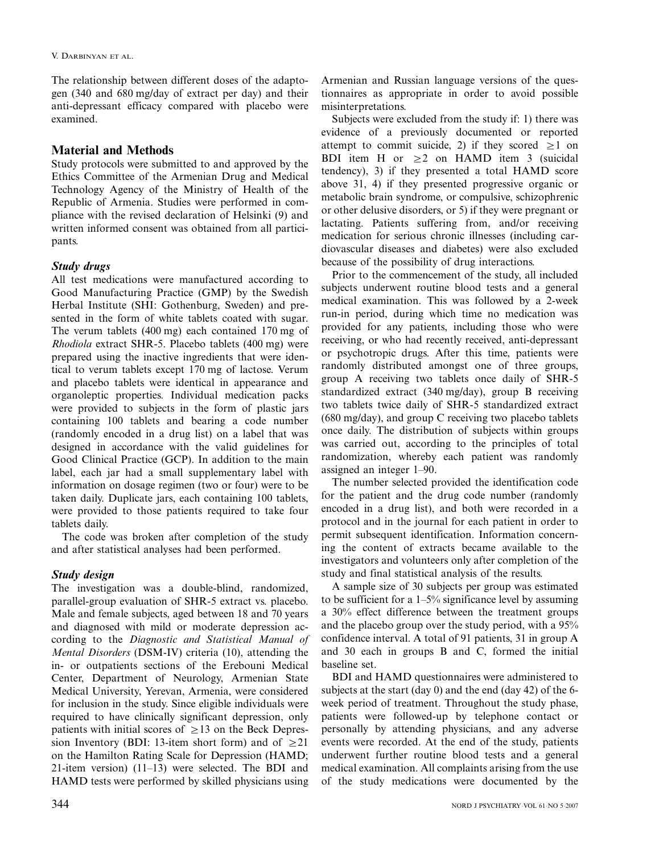The relationship between different doses of the adaptogen (340 and 680 mg/day of extract per day) and their anti-depressant efficacy compared with placebo were examined.

## Material and Methods

Study protocols were submitted to and approved by the Ethics Committee of the Armenian Drug and Medical Technology Agency of the Ministry of Health of the Republic of Armenia. Studies were performed in compliance with the revised declaration of Helsinki (9) and written informed consent was obtained from all participants.

### Study drugs

All test medications were manufactured according to Good Manufacturing Practice (GMP) by the Swedish Herbal Institute (SHI: Gothenburg, Sweden) and presented in the form of white tablets coated with sugar. The verum tablets (400 mg) each contained 170 mg of Rhodiola extract SHR-5. Placebo tablets (400 mg) were prepared using the inactive ingredients that were identical to verum tablets except 170 mg of lactose. Verum and placebo tablets were identical in appearance and organoleptic properties. Individual medication packs were provided to subjects in the form of plastic jars containing 100 tablets and bearing a code number (randomly encoded in a drug list) on a label that was designed in accordance with the valid guidelines for Good Clinical Practice (GCP). In addition to the main label, each jar had a small supplementary label with information on dosage regimen (two or four) were to be taken daily. Duplicate jars, each containing 100 tablets, were provided to those patients required to take four tablets daily.

The code was broken after completion of the study and after statistical analyses had been performed.

## Study design

The investigation was a double-blind, randomized, parallel-group evaluation of SHR-5 extract vs. placebo. Male and female subjects, aged between 18 and 70 years and diagnosed with mild or moderate depression according to the Diagnostic and Statistical Manual of Mental Disorders (DSM-IV) criteria (10), attending the in- or outpatients sections of the Erebouni Medical Center, Department of Neurology, Armenian State Medical University, Yerevan, Armenia, were considered for inclusion in the study. Since eligible individuals were required to have clinically significant depression, only patients with initial scores of  $\geq$ 13 on the Beck Depression Inventory (BDI: 13-item short form) and of  $\geq 21$ on the Hamilton Rating Scale for Depression (HAMD; 21-item version)  $(11-13)$  were selected. The BDI and HAMD tests were performed by skilled physicians using Armenian and Russian language versions of the questionnaires as appropriate in order to avoid possible misinterpretations.

Subjects were excluded from the study if: 1) there was evidence of a previously documented or reported attempt to commit suicide, 2) if they scored  $\geq 1$  on BDI item H or  $\geq 2$  on HAMD item 3 (suicidal tendency), 3) if they presented a total HAMD score above 31, 4) if they presented progressive organic or metabolic brain syndrome, or compulsive, schizophrenic or other delusive disorders, or 5) if they were pregnant or lactating. Patients suffering from, and/or receiving medication for serious chronic illnesses (including cardiovascular diseases and diabetes) were also excluded because of the possibility of drug interactions.

Prior to the commencement of the study, all included subjects underwent routine blood tests and a general medical examination. This was followed by a 2-week run-in period, during which time no medication was provided for any patients, including those who were receiving, or who had recently received, anti-depressant or psychotropic drugs. After this time, patients were randomly distributed amongst one of three groups, group A receiving two tablets once daily of SHR-5 standardized extract (340 mg/day), group B receiving two tablets twice daily of SHR-5 standardized extract (680 mg/day), and group C receiving two placebo tablets once daily. The distribution of subjects within groups was carried out, according to the principles of total randomization, whereby each patient was randomly assigned an integer 1–90.

The number selected provided the identification code for the patient and the drug code number (randomly encoded in a drug list), and both were recorded in a protocol and in the journal for each patient in order to permit subsequent identification. Information concerning the content of extracts became available to the investigators and volunteers only after completion of the study and final statistical analysis of the results.

A sample size of 30 subjects per group was estimated to be sufficient for a  $1-5\%$  significance level by assuming a 30% effect difference between the treatment groups and the placebo group over the study period, with a 95% confidence interval. A total of 91 patients, 31 in group A and 30 each in groups B and C, formed the initial baseline set.

BDI and HAMD questionnaires were administered to subjects at the start (day 0) and the end (day 42) of the 6 week period of treatment. Throughout the study phase, patients were followed-up by telephone contact or personally by attending physicians, and any adverse events were recorded. At the end of the study, patients underwent further routine blood tests and a general medical examination. All complaints arising from the use of the study medications were documented by the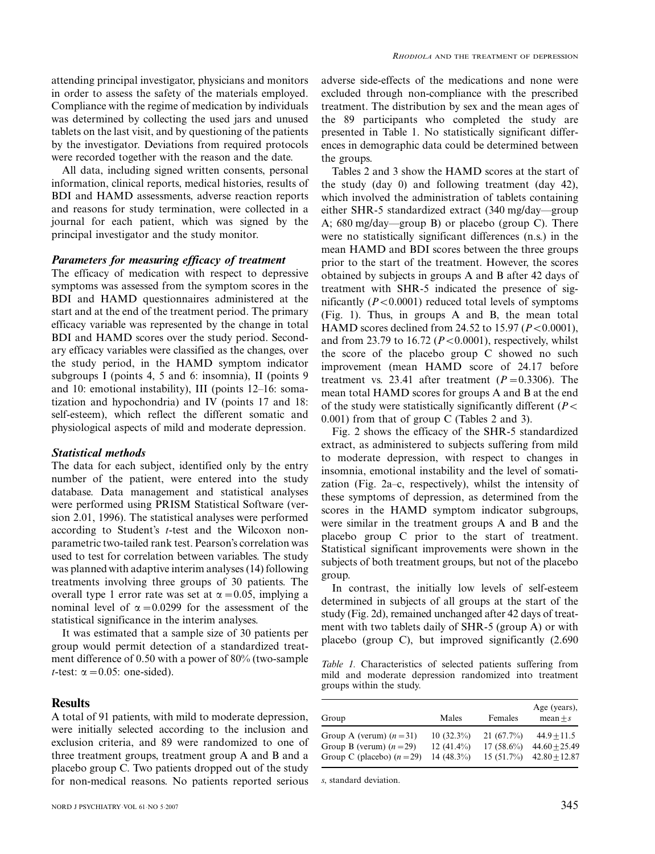attending principal investigator, physicians and monitors in order to assess the safety of the materials employed. Compliance with the regime of medication by individuals was determined by collecting the used jars and unused tablets on the last visit, and by questioning of the patients by the investigator. Deviations from required protocols were recorded together with the reason and the date.

All data, including signed written consents, personal information, clinical reports, medical histories, results of BDI and HAMD assessments, adverse reaction reports and reasons for study termination, were collected in a journal for each patient, which was signed by the principal investigator and the study monitor.

#### Parameters for measuring efficacy of treatment

The efficacy of medication with respect to depressive symptoms was assessed from the symptom scores in the BDI and HAMD questionnaires administered at the start and at the end of the treatment period. The primary efficacy variable was represented by the change in total BDI and HAMD scores over the study period. Secondary efficacy variables were classified as the changes, over the study period, in the HAMD symptom indicator subgroups I (points 4, 5 and 6: insomnia), II (points 9 and 10: emotional instability), III (points  $12-16$ : somatization and hypochondria) and IV (points 17 and 18: self-esteem), which reflect the different somatic and physiological aspects of mild and moderate depression.

#### Statistical methods

The data for each subject, identified only by the entry number of the patient, were entered into the study database. Data management and statistical analyses were performed using PRISM Statistical Software (version 2.01, 1996). The statistical analyses were performed according to Student's t-test and the Wilcoxon nonparametric two-tailed rank test. Pearson's correlation was used to test for correlation between variables. The study was planned with adaptive interim analyses (14) following treatments involving three groups of 30 patients. The overall type 1 error rate was set at  $\alpha = 0.05$ , implying a nominal level of  $\alpha = 0.0299$  for the assessment of the statistical significance in the interim analyses.

It was estimated that a sample size of 30 patients per group would permit detection of a standardized treatment difference of 0.50 with a power of 80% (two-sample *t*-test:  $\alpha = 0.05$ : one-sided).

#### **Results**

A total of 91 patients, with mild to moderate depression, were initially selected according to the inclusion and exclusion criteria, and 89 were randomized to one of three treatment groups, treatment group A and B and a placebo group C. Two patients dropped out of the study for non-medical reasons. No patients reported serious adverse side-effects of the medications and none were excluded through non-compliance with the prescribed treatment. The distribution by sex and the mean ages of the 89 participants who completed the study are presented in Table 1. No statistically significant differences in demographic data could be determined between the groups.

Tables 2 and 3 show the HAMD scores at the start of the study (day 0) and following treatment (day 42), which involved the administration of tablets containing either SHR-5 standardized extract  $(340 \text{ me}/day$ -group A;  $680 \text{ mg/day}$  group B) or placebo (group C). There were no statistically significant differences (n.s.) in the mean HAMD and BDI scores between the three groups prior to the start of the treatment. However, the scores obtained by subjects in groups A and B after 42 days of treatment with SHR-5 indicated the presence of significantly  $(P<0.0001)$  reduced total levels of symptoms (Fig. 1). Thus, in groups A and B, the mean total HAMD scores declined from 24.52 to 15.97 ( $P < 0.0001$ ), and from 23.79 to 16.72 ( $P < 0.0001$ ), respectively, whilst the score of the placebo group C showed no such improvement (mean HAMD score of 24.17 before treatment vs. 23.41 after treatment  $(P=0.3306)$ . The mean total HAMD scores for groups A and B at the end of the study were statistically significantly different ( $P \leq$ 0.001) from that of group C (Tables 2 and 3).

Fig. 2 shows the efficacy of the SHR-5 standardized extract, as administered to subjects suffering from mild to moderate depression, with respect to changes in insomnia, emotional instability and the level of somatization (Fig.  $2a-c$ , respectively), whilst the intensity of these symptoms of depression, as determined from the scores in the HAMD symptom indicator subgroups, were similar in the treatment groups A and B and the placebo group C prior to the start of treatment. Statistical significant improvements were shown in the subjects of both treatment groups, but not of the placebo group.

In contrast, the initially low levels of self-esteem determined in subjects of all groups at the start of the study (Fig. 2d), remained unchanged after 42 days of treatment with two tablets daily of SHR-5 (group A) or with placebo (group C), but improved significantly (2.690

Table 1. Characteristics of selected patients suffering from mild and moderate depression randomized into treatment groups within the study.

| Group                      | Males         | Females      | Age (years),<br>$mean + s$ |
|----------------------------|---------------|--------------|----------------------------|
| Group A (verum) $(n=31)$   | $10(32.3\%)$  | 21(67.7%)    | $44.9 + 11.5$              |
| Group B (verum) $(n=29)$   | 12 $(41.4\%)$ | $17(58.6\%)$ | $44.60 + 25.49$            |
| Group C (placebo) $(n=29)$ | 14 (48.3%)    | 15(51.7%)    | $42.80 + 12.87$            |

s, standard deviation.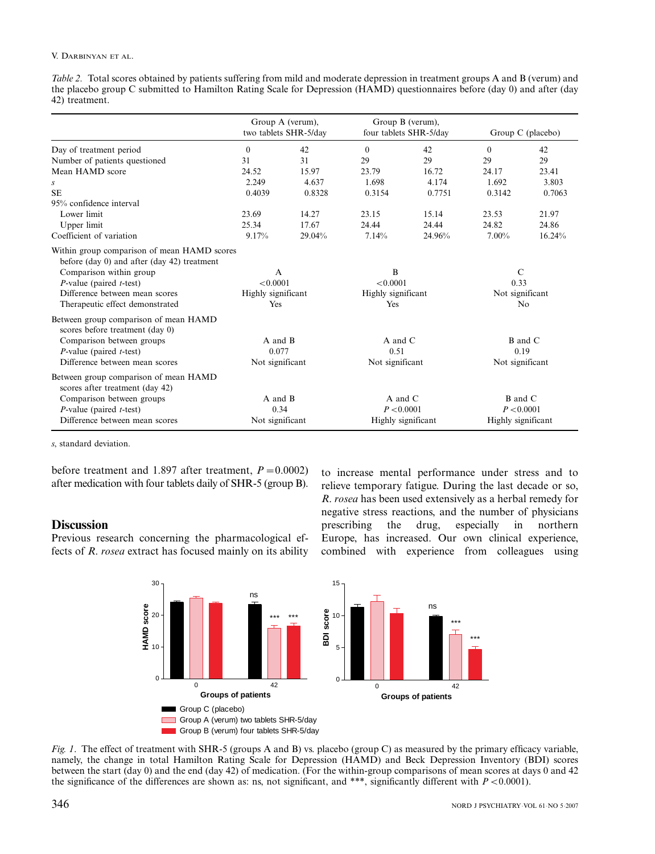#### V. DARBINYAN ET AL.

Table 2. Total scores obtained by patients suffering from mild and moderate depression in treatment groups A and B (verum) and the placebo group C submitted to Hamilton Rating Scale for Depression (HAMD) questionnaires before (day 0) and after (day 42) treatment.

|                                                                                                                                                                                                                                  | Group A (verum),<br>two tablets SHR-5/day  |        | Group B (verum),<br>four tablets SHR-5/day  |        | Group C (placebo)                                          |        |
|----------------------------------------------------------------------------------------------------------------------------------------------------------------------------------------------------------------------------------|--------------------------------------------|--------|---------------------------------------------|--------|------------------------------------------------------------|--------|
| Day of treatment period                                                                                                                                                                                                          | $\theta$                                   | 42     | $\theta$                                    | 42     | $\theta$                                                   | 42     |
| Number of patients questioned                                                                                                                                                                                                    | 31                                         | 31     | 29                                          | 29     | 29                                                         | 29     |
| Mean HAMD score                                                                                                                                                                                                                  | 24.52                                      | 15.97  | 23.79                                       | 16.72  | 24.17                                                      | 23.41  |
| $\boldsymbol{S}$                                                                                                                                                                                                                 | 2.249                                      | 4.637  | 1.698                                       | 4.174  | 1.692                                                      | 3.803  |
| <b>SE</b>                                                                                                                                                                                                                        | 0.4039                                     | 0.8328 | 0.3154                                      | 0.7751 | 0.3142                                                     | 0.7063 |
| 95% confidence interval                                                                                                                                                                                                          |                                            |        |                                             |        |                                                            |        |
| Lower limit                                                                                                                                                                                                                      | 23.69                                      | 14.27  | 23.15                                       | 15.14  | 23.53                                                      | 21.97  |
| Upper limit                                                                                                                                                                                                                      | 25.34                                      | 17.67  | 24.44                                       | 24.44  | 24.82                                                      | 24.86  |
| Coefficient of variation                                                                                                                                                                                                         | 9.17%                                      | 29.04% | 7.14%                                       | 24.96% | $7.00\%$                                                   | 16.24% |
| Within group comparison of mean HAMD scores<br>before (day 0) and after (day 42) treatment<br>Comparison within group<br>$P$ -value (paired <i>t</i> -test)<br>Difference between mean scores<br>Therapeutic effect demonstrated | A<br>< 0.0001<br>Highly significant<br>Yes |        | B<br>< 0.0001<br>Highly significant<br>Yes  |        | $\mathcal{C}$<br>0.33<br>Not significant<br>N <sub>0</sub> |        |
| Between group comparison of mean HAMD<br>scores before treatment (day 0)<br>Comparison between groups<br>$P$ -value (paired <i>t</i> -test)<br>Difference between mean scores                                                    | A and B<br>0.077<br>Not significant        |        | A and C<br>0.51<br>Not significant          |        | <b>B</b> and C<br>0.19<br>Not significant                  |        |
| Between group comparison of mean HAMD<br>scores after treatment (day 42)<br>Comparison between groups<br>$P$ -value (paired <i>t</i> -test)<br>Difference between mean scores                                                    | A and B<br>0.34<br>Not significant         |        | A and C<br>P < 0.0001<br>Highly significant |        | <b>B</b> and C<br>P < 0.0001<br>Highly significant         |        |

s, standard deviation.

before treatment and 1.897 after treatment,  $P = 0.0002$ ) after medication with four tablets daily of SHR-5 (group B).

#### **Discussion**

Previous research concerning the pharmacological effects of R. rosea extract has focused mainly on its ability to increase mental performance under stress and to relieve temporary fatigue. During the last decade or so, R. rosea has been used extensively as a herbal remedy for negative stress reactions, and the number of physicians prescribing the drug, especially in northern Europe, has increased. Our own clinical experience, combined with experience from colleagues using

\*\*\*

\*\*\*



Fig. 1. The effect of treatment with SHR-5 (groups A and B) vs. placebo (group C) as measured by the primary efficacy variable, namely, the change in total Hamilton Rating Scale for Depression (HAMD) and Beck Depression Inventory (BDI) scores between the start (day 0) and the end (day 42) of medication. (For the within-group comparisons of mean scores at days 0 and 42 the significance of the differences are shown as: ns, not significant, and \*\*\*, significantly different with  $P < 0.0001$ ).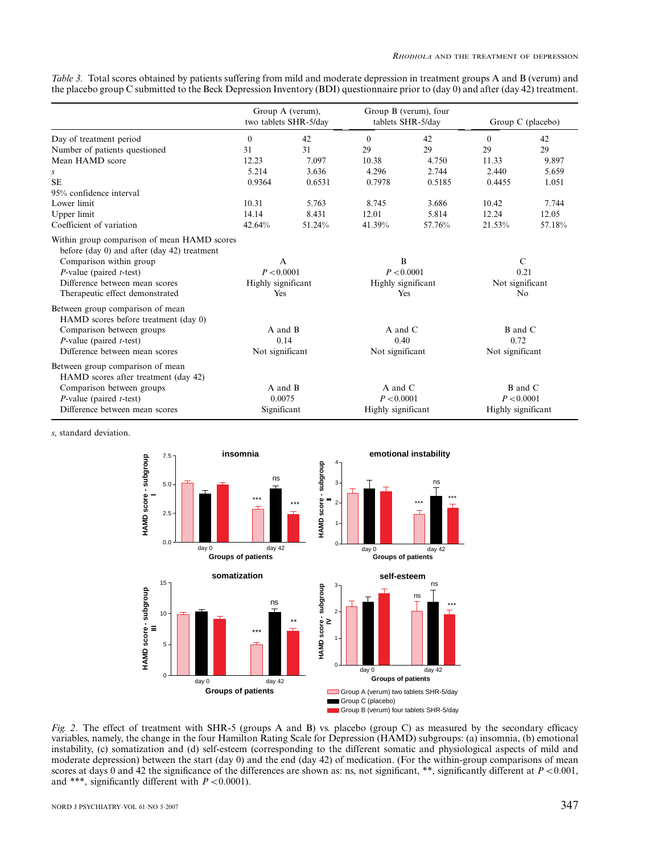| Table 3. Total scores obtained by patients suffering from mild and moderate depression in treatment groups A and B (verum) and    |  |  |  |  |  |
|-----------------------------------------------------------------------------------------------------------------------------------|--|--|--|--|--|
| the placebo group C submitted to the Beck Depression Inventory (BDI) questionnaire prior to (day 0) and after (day 42) treatment. |  |  |  |  |  |

|                                                                                                                                                                                                                                  | Group A (verum),<br>two tablets SHR-5/day               |        | Group B (verum), four<br>tablets SHR-5/day   |        | Group C (placebo)                                          |        |
|----------------------------------------------------------------------------------------------------------------------------------------------------------------------------------------------------------------------------------|---------------------------------------------------------|--------|----------------------------------------------|--------|------------------------------------------------------------|--------|
| Day of treatment period                                                                                                                                                                                                          | $\mathbf{0}$                                            | 42     | $\theta$                                     | 42     | $\theta$                                                   | 42     |
| Number of patients questioned                                                                                                                                                                                                    | 31                                                      | 31     | 29                                           | 29     | 29                                                         | 29     |
| Mean HAMD score                                                                                                                                                                                                                  | 12.23                                                   | 7.097  | 10.38                                        | 4.750  | 11.33                                                      | 9.897  |
| S                                                                                                                                                                                                                                | 5.214                                                   | 3.636  | 4.296                                        | 2.744  | 2.440                                                      | 5.659  |
| <b>SE</b>                                                                                                                                                                                                                        | 0.9364                                                  | 0.6531 | 0.7978                                       | 0.5185 | 0.4455                                                     | 1.051  |
| 95% confidence interval                                                                                                                                                                                                          |                                                         |        |                                              |        |                                                            |        |
| Lower limit                                                                                                                                                                                                                      | 10.31                                                   | 5.763  | 8.745                                        | 3.686  | 10.42                                                      | 7.744  |
| Upper limit                                                                                                                                                                                                                      | 14.14                                                   | 8.431  | 12.01                                        | 5.814  | 12.24                                                      | 12.05  |
| Coefficient of variation                                                                                                                                                                                                         | 42.64%                                                  | 51.24% | 41.39%                                       | 57.76% | 21.53%                                                     | 57.18% |
| Within group comparison of mean HAMD scores<br>before (day 0) and after (day 42) treatment<br>Comparison within group<br>$P$ -value (paired <i>t</i> -test)<br>Difference between mean scores<br>Therapeutic effect demonstrated | $\mathsf{A}$<br>P < 0.0001<br>Highly significant<br>Yes |        | B<br>P < 0.0001<br>Highly significant<br>Yes |        | $\mathcal{C}$<br>0.21<br>Not significant<br>N <sub>o</sub> |        |
| Between group comparison of mean<br>HAMD scores before treatment (day 0)<br>Comparison between groups<br>$P$ -value (paired <i>t</i> -test)<br>Difference between mean scores                                                    | A and B<br>0.14<br>Not significant                      |        | $A$ and $C$<br>0.40<br>Not significant       |        | $B$ and $C$<br>0.72<br>Not significant                     |        |
| Between group comparison of mean<br>HAMD scores after treatment (day 42)<br>Comparison between groups<br>$P$ -value (paired <i>t</i> -test)<br>Difference between mean scores                                                    | A and B<br>0.0075<br>Significant                        |        | A and C<br>P < 0.0001<br>Highly significant  |        | <b>B</b> and C<br>P < 0.0001<br>Highly significant         |        |

s, standard deviation.



Fig. 2. The effect of treatment with SHR-5 (groups A and B) vs. placebo (group C) as measured by the secondary efficacy variables, namely, the change in the four Hamilton Rating Scale for Depression (HAMD) subgroups: (a) insomnia, (b) emotional instability, (c) somatization and (d) self-esteem (corresponding to the different somatic and physiological aspects of mild and moderate depression) between the start (day 0) and the end (day 42) of medication. (For the within-group comparisons of mean scores at days 0 and 42 the significance of the differences are shown as: ns, not significant, \*\*, significantly different at  $P < 0.001$ , and \*\*\*, significantly different with  $P < 0.0001$ ).